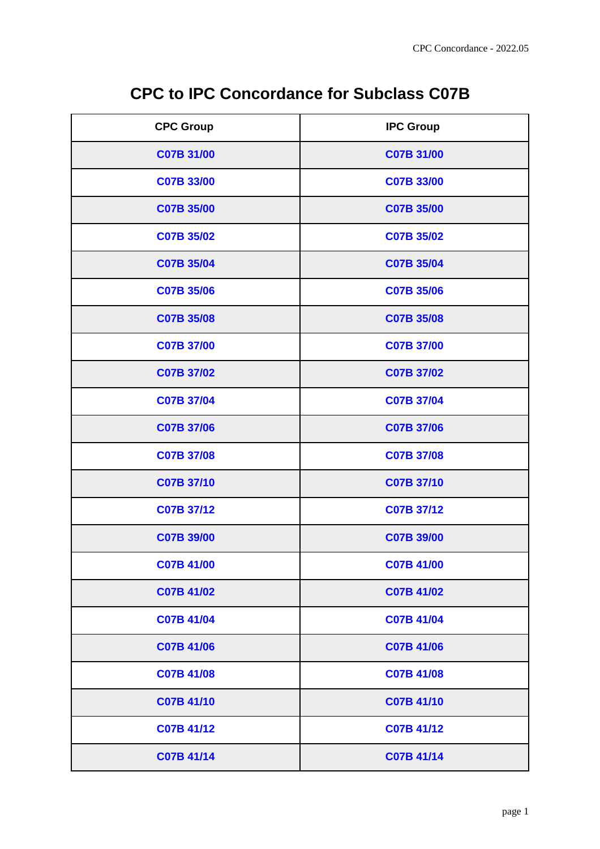|  | <b>CPC to IPC Concordance for Subclass C07B</b> |  |  |
|--|-------------------------------------------------|--|--|
|--|-------------------------------------------------|--|--|

| <b>CPC Group</b>  | <b>IPC Group</b>  |
|-------------------|-------------------|
| C07B 31/00        | C07B 31/00        |
| C07B 33/00        | C07B 33/00        |
| <b>C07B 35/00</b> | <b>C07B 35/00</b> |
| <b>C07B 35/02</b> | <b>C07B 35/02</b> |
| C07B 35/04        | C07B 35/04        |
| <b>C07B 35/06</b> | C07B 35/06        |
| C07B 35/08        | C07B 35/08        |
| <b>C07B 37/00</b> | <b>C07B 37/00</b> |
| C07B 37/02        | <b>C07B 37/02</b> |
| <b>C07B 37/04</b> | <b>C07B 37/04</b> |
| C07B 37/06        | C07B 37/06        |
| C07B 37/08        | C07B 37/08        |
| C07B 37/10        | C07B 37/10        |
| C07B 37/12        | C07B 37/12        |
| C07B 39/00        | C07B 39/00        |
| C07B 41/00        | C07B 41/00        |
| C07B 41/02        | C07B 41/02        |
| <b>C07B 41/04</b> | <b>C07B 41/04</b> |
| <b>C07B 41/06</b> | <b>C07B 41/06</b> |
| <b>C07B 41/08</b> | <b>C07B 41/08</b> |
| C07B 41/10        | C07B 41/10        |
| C07B 41/12        | C07B 41/12        |
| C07B 41/14        | C07B 41/14        |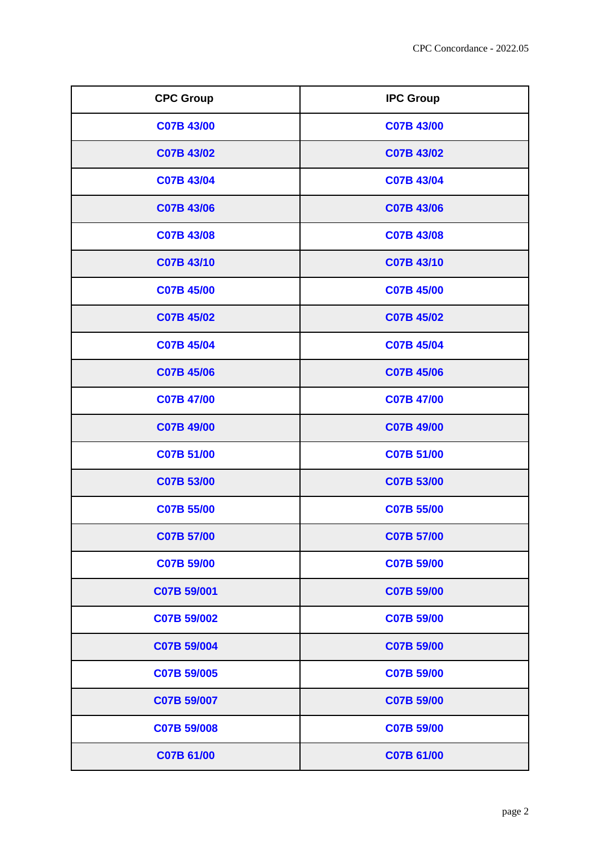| <b>CPC Group</b>  | <b>IPC Group</b>  |
|-------------------|-------------------|
| C07B 43/00        | C07B 43/00        |
| C07B 43/02        | <b>C07B 43/02</b> |
| C07B 43/04        | <b>C07B 43/04</b> |
| C07B 43/06        | <b>C07B 43/06</b> |
| C07B 43/08        | C07B 43/08        |
| C07B 43/10        | C07B 43/10        |
| C07B 45/00        | C07B 45/00        |
| C07B 45/02        | C07B 45/02        |
| C07B 45/04        | C07B 45/04        |
| C07B 45/06        | <b>C07B 45/06</b> |
| <b>C07B 47/00</b> | <b>C07B 47/00</b> |
| <b>C07B 49/00</b> | <b>C07B 49/00</b> |
| C07B 51/00        | <b>C07B 51/00</b> |
| C07B 53/00        | <b>C07B 53/00</b> |
| <b>C07B 55/00</b> | C07B 55/00        |
| C07B 57/00        | <b>C07B 57/00</b> |
| C07B 59/00        | <b>C07B 59/00</b> |
| C07B 59/001       | C07B 59/00        |
| C07B 59/002       | C07B 59/00        |
| C07B 59/004       | <b>C07B 59/00</b> |
| C07B 59/005       | <b>C07B 59/00</b> |
| C07B 59/007       | C07B 59/00        |
| C07B 59/008       | <b>C07B 59/00</b> |
| C07B 61/00        | C07B 61/00        |